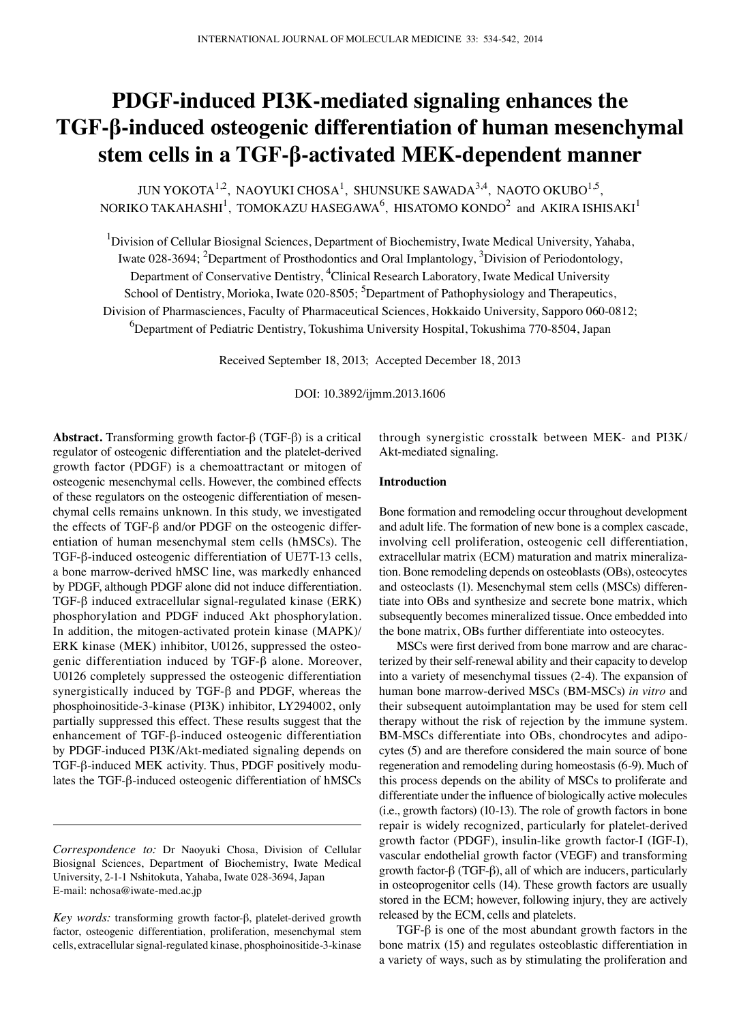# **PDGF-induced PI3K-mediated signaling enhances the TGF-β-induced osteogenic differentiation of human mesenchymal stem cells in a TGF-β-activated MEK-dependent manner**

JUN YOKOTA $^{1,2}$ , NAOYUKI CHOSA $^{1}$ , SHUNSUKE SAWADA $^{3,4}$ , NAOTO OKUBO $^{1,5},$ NORIKO TAKAHASHI $^1$ , TOMOKAZU HASEGAWA $^6$ , HISATOMO KONDO $^2$  and AKIRA ISHISAKI $^1$ 

<sup>1</sup>Division of Cellular Biosignal Sciences, Department of Biochemistry, Iwate Medical University, Yahaba, Iwate 028-3694; <sup>2</sup>Department of Prosthodontics and Oral Implantology, <sup>3</sup>Division of Periodontology, Department of Conservative Dentistry, <sup>4</sup>Clinical Research Laboratory, Iwate Medical University School of Dentistry, Morioka, Iwate 020-8505; <sup>5</sup>Department of Pathophysiology and Therapeutics, Division of Pharmasciences, Faculty of Pharmaceutical Sciences, Hokkaido University, Sapporo 060-0812; 6 Department of Pediatric Dentistry, Tokushima University Hospital, Tokushima 770-8504, Japan

Received September 18, 2013; Accepted December 18, 2013

DOI: 10.3892/ijmm.2013.1606

**Abstract.** Transforming growth factor-β (TGF-β) is a critical regulator of osteogenic differentiation and the platelet-derived growth factor (PDGF) is a chemoattractant or mitogen of osteogenic mesenchymal cells. However, the combined effects of these regulators on the osteogenic differentiation of mesenchymal cells remains unknown. In this study, we investigated the effects of TGF-β and/or PDGF on the osteogenic differentiation of human mesenchymal stem cells (hMSCs). The TGF-β-induced osteogenic differentiation of UE7T-13 cells, a bone marrow-derived hMSC line, was markedly enhanced by PDGF, although PDGF alone did not induce differentiation. TGF-β induced extracellular signal-regulated kinase (ERK) phosphorylation and PDGF induced Akt phosphorylation. In addition, the mitogen-activated protein kinase (MAPK)/ ERK kinase (MEK) inhibitor, U0126, suppressed the osteogenic differentiation induced by TGF-β alone. Moreover, U0126 completely suppressed the osteogenic differentiation synergistically induced by TGF-β and PDGF, whereas the phosphoinositide-3-kinase (PI3K) inhibitor, LY294002, only partially suppressed this effect. These results suggest that the enhancement of TGF-β-induced osteogenic differentiation by PDGF-induced PI3K/Akt-mediated signaling depends on TGF-β-induced MEK activity. Thus, PDGF positively modulates the TGF-β-induced osteogenic differentiation of hMSCs through synergistic crosstalk between MEK- and PI3K/ Akt-mediated signaling.

## **Introduction**

Bone formation and remodeling occur throughout development and adult life. The formation of new bone is a complex cascade, involving cell proliferation, osteogenic cell differentiation, extracellular matrix (ECM) maturation and matrix mineralization. Bone remodeling depends on osteoblasts (OBs), osteocytes and osteoclasts (1). Mesenchymal stem cells (MSCs) differentiate into OBs and synthesize and secrete bone matrix, which subsequently becomes mineralized tissue. Once embedded into the bone matrix, OBs further differentiate into osteocytes.

MSCs were first derived from bone marrow and are characterized by their self-renewal ability and their capacity to develop into a variety of mesenchymal tissues (2-4). The expansion of human bone marrow-derived MSCs (BM-MSCs) *in vitro* and their subsequent autoimplantation may be used for stem cell therapy without the risk of rejection by the immune system. BM-MSCs differentiate into OBs, chondrocytes and adipocytes (5) and are therefore considered the main source of bone regeneration and remodeling during homeostasis (6-9). Much of this process depends on the ability of MSCs to proliferate and differentiate under the influence of biologically active molecules (i.e., growth factors) (10-13). The role of growth factors in bone repair is widely recognized, particularly for platelet-derived growth factor (PDGF), insulin-like growth factor-I (IGF-I), vascular endothelial growth factor (VEGF) and transforming growth factor-β (TGF-β), all of which are inducers, particularly in osteoprogenitor cells (14). These growth factors are usually stored in the ECM; however, following injury, they are actively released by the ECM, cells and platelets.

TGF-β is one of the most abundant growth factors in the bone matrix (15) and regulates osteoblastic differentiation in a variety of ways, such as by stimulating the proliferation and

*Correspondence to:* Dr Naoyuki Chosa, Division of Cellular Biosignal Sciences, Department of Biochemistry, Iwate Medical University, 2-1-1 Nshitokuta, Yahaba, Iwate 028-3694, Japan E-mail: nchosa@iwate-med.ac.jp

*Key words:* transforming growth factor-β, platelet-derived growth factor, osteogenic differentiation, proliferation, mesenchymal stem cells, extracellular signal-regulated kinase, phosphoinositide-3-kinase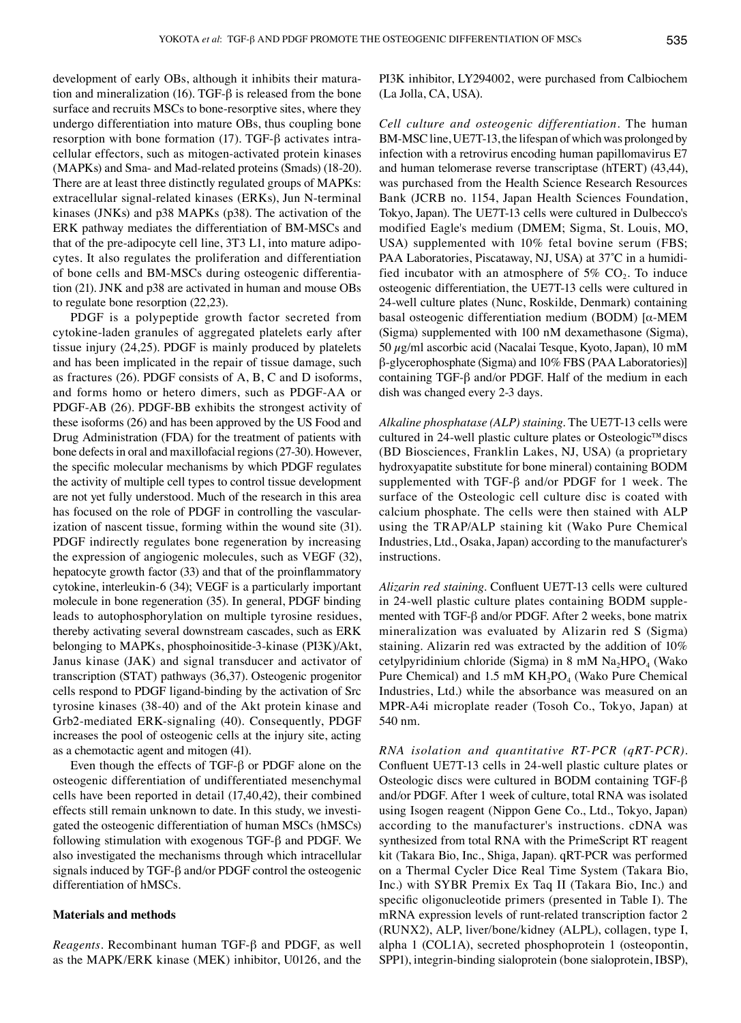development of early OBs, although it inhibits their maturation and mineralization (16). TGF-β is released from the bone surface and recruits MSCs to bone-resorptive sites, where they undergo differentiation into mature OBs, thus coupling bone resorption with bone formation (17). TGF-β activates intracellular effectors, such as mitogen-activated protein kinases (MAPKs) and Sma- and Mad-related proteins (Smads) (18-20). There are at least three distinctly regulated groups of MAPKs: extracellular signal-related kinases (ERKs), Jun N-terminal kinases (JNKs) and p38 MAPKs (p38). The activation of the ERK pathway mediates the differentiation of BM-MSCs and that of the pre-adipocyte cell line, 3T3 L1, into mature adipocytes. It also regulates the proliferation and differentiation of bone cells and BM-MSCs during osteogenic differentiation (21). JNK and p38 are activated in human and mouse OBs to regulate bone resorption (22,23).

PDGF is a polypeptide growth factor secreted from cytokine-laden granules of aggregated platelets early after tissue injury (24,25). PDGF is mainly produced by platelets and has been implicated in the repair of tissue damage, such as fractures (26). PDGF consists of A, B, C and D isoforms, and forms homo or hetero dimers, such as PDGF-AA or PDGF-AB (26). PDGF-BB exhibits the strongest activity of these isoforms (26) and has been approved by the US Food and Drug Administration (FDA) for the treatment of patients with bone defects in oral and maxillofacial regions (27-30). However, the specific molecular mechanisms by which PDGF regulates the activity of multiple cell types to control tissue development are not yet fully understood. Much of the research in this area has focused on the role of PDGF in controlling the vascularization of nascent tissue, forming within the wound site (31). PDGF indirectly regulates bone regeneration by increasing the expression of angiogenic molecules, such as VEGF (32), hepatocyte growth factor (33) and that of the proinflammatory cytokine, interleukin-6 (34); VEGF is a particularly important molecule in bone regeneration (35). In general, PDGF binding leads to autophosphorylation on multiple tyrosine residues, thereby activating several downstream cascades, such as ERK belonging to MAPKs, phosphoinositide-3-kinase (PI3K)/Akt, Janus kinase (JAK) and signal transducer and activator of transcription (STAT) pathways (36,37). Osteogenic progenitor cells respond to PDGF ligand-binding by the activation of Src tyrosine kinases (38-40) and of the Akt protein kinase and Grb2-mediated ERK-signaling (40). Consequently, PDGF increases the pool of osteogenic cells at the injury site, acting as a chemotactic agent and mitogen (41).

Even though the effects of TGF-β or PDGF alone on the osteogenic differentiation of undifferentiated mesenchymal cells have been reported in detail (17,40,42), their combined effects still remain unknown to date. In this study, we investigated the osteogenic differentiation of human MSCs (hMSCs) following stimulation with exogenous TGF-β and PDGF. We also investigated the mechanisms through which intracellular signals induced by TGF-β and/or PDGF control the osteogenic differentiation of hMSCs.

## **Materials and methods**

*Reagents.* Recombinant human TGF-β and PDGF, as well as the MAPK/ERK kinase (MEK) inhibitor, U0126, and the PI3K inhibitor, LY294002, were purchased from Calbiochem (La Jolla, CA, USA).

*Cell culture and osteogenic differentiation.* The human BM-MSC line, UE7T-13, the lifespan of which was prolonged by infection with a retrovirus encoding human papillomavirus E7 and human telomerase reverse transcriptase (hTERT) (43,44), was purchased from the Health Science Research Resources Bank (JCRB no. 1154, Japan Health Sciences Foundation, Tokyo, Japan). The UE7T-13 cells were cultured in Dulbecco's modified Eagle's medium (DMEM; Sigma, St. Louis, MO, USA) supplemented with 10% fetal bovine serum (FBS; PAA Laboratories, Piscataway, NJ, USA) at 37˚C in a humidified incubator with an atmosphere of 5%  $CO<sub>2</sub>$ . To induce osteogenic differentiation, the UE7T-13 cells were cultured in 24-well culture plates (Nunc, Roskilde, Denmark) containing basal osteogenic differentiation medium (BODM) [α-MEM (Sigma) supplemented with 100 nM dexamethasone (Sigma), 50 µg/ml ascorbic acid (Nacalai Tesque, Kyoto, Japan), 10 mM β-glycerophosphate (Sigma) and 10% FBS (PAA Laboratories)] containing TGF-β and/or PDGF. Half of the medium in each dish was changed every 2-3 days.

*Alkaline phosphatase (ALP) staining.* The UE7T-13 cells were cultured in 24-well plastic culture plates or Osteologic™discs (BD Biosciences, Franklin Lakes, NJ, USA) (a proprietary hydroxyapatite substitute for bone mineral) containing BODM supplemented with TGF-β and/or PDGF for 1 week. The surface of the Osteologic cell culture disc is coated with calcium phosphate. The cells were then stained with ALP using the TRAP/ALP staining kit (Wako Pure Chemical Industries, Ltd., Osaka, Japan) according to the manufacturer's instructions.

*Alizarin red staining.* Confluent UE7T-13 cells were cultured in 24-well plastic culture plates containing BODM supplemented with TGF-β and/or PDGF. After 2 weeks, bone matrix mineralization was evaluated by Alizarin red S (Sigma) staining. Alizarin red was extracted by the addition of 10% cetylpyridinium chloride (Sigma) in 8 mM  $Na<sub>2</sub>HPO<sub>4</sub>$  (Wako Pure Chemical) and 1.5 mM  $KH_2PO_4$  (Wako Pure Chemical Industries, Ltd.) while the absorbance was measured on an MPR-A4i microplate reader (Tosoh Co., Tokyo, Japan) at 540 nm.

*RNA isolation and quantitative RT-PCR (qRT-PCR).*  Confluent UE7T-13 cells in 24-well plastic culture plates or Osteologic discs were cultured in BODM containing TGF-β and/or PDGF. After 1 week of culture, total RNA was isolated using Isogen reagent (Nippon Gene Co., Ltd., Tokyo, Japan) according to the manufacturer's instructions. cDNA was synthesized from total RNA with the PrimeScript RT reagent kit (Takara Bio, Inc., Shiga, Japan). qRT-PCR was performed on a Thermal Cycler Dice Real Time System (Takara Bio, Inc.) with SYBR Premix Ex Taq II (Takara Bio, Inc.) and specific oligonucleotide primers (presented in Table I). The mRNA expression levels of runt-related transcription factor 2 (RUNX2), ALP, liver/bone/kidney (ALPL), collagen, type I, alpha 1 (COL1A), secreted phosphoprotein 1 (osteopontin, SPP1), integrin-binding sialoprotein (bone sialoprotein, IBSP),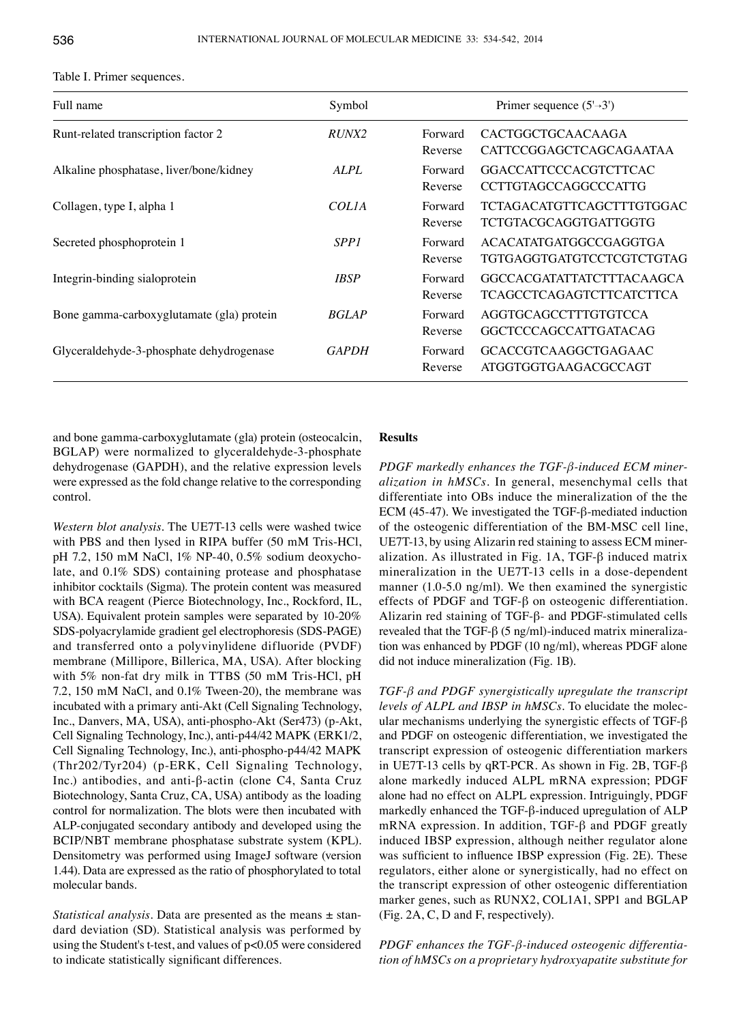| Full name                                 | Symbol       |                    | Primer sequence $(5\rightarrow 3')$                         |
|-------------------------------------------|--------------|--------------------|-------------------------------------------------------------|
| Runt-related transcription factor 2       | RUNX2        | Forward<br>Reverse | CACTGGCTGCAACAAGA<br><b>CATTCCGGAGCTCAGCAGAATAA</b>         |
| Alkaline phosphatase, liver/bone/kidney   | ALPL         | Forward<br>Reverse | <b>GGACCATTCCCACGTCTTCAC</b><br><b>CCTTGTAGCCAGGCCCATTG</b> |
| Collagen, type I, alpha 1                 | <b>COLIA</b> | Forward<br>Reverse | <b>TCTAGACATGTTCAGCTTTGTGGAC</b><br>TCTGTACGCAGGTGATTGGTG   |
| Secreted phosphoprotein 1                 | <i>SPP1</i>  | Forward<br>Reverse | ACACATATGATGGCCGAGGTGA<br>TGTGAGGTGATGTCCTCGTCTGTAG         |
| Integrin-binding sialoprotein             | <b>IBSP</b>  | Forward<br>Reverse | GGCCACGATATTATCTTTACAAGCA<br>TCAGCCTCAGAGTCTTCATCTTCA       |
| Bone gamma-carboxyglutamate (gla) protein | <b>BGLAP</b> | Forward<br>Reverse | AGGTGCAGCCTTTGTGTCCA<br>GGCTCCCAGCCATTGATACAG               |
| Glyceraldehyde-3-phosphate dehydrogenase  | <b>GAPDH</b> | Forward<br>Reverse | <b>GCACCGTCAAGGCTGAGAAC</b><br>ATGGTGGTGAAGACGCCAGT         |

Table I. Primer sequences.

and bone gamma-carboxyglutamate (gla) protein (osteocalcin, BGLAP) were normalized to glyceraldehyde-3-phosphate dehydrogenase (GAPDH), and the relative expression levels were expressed as the fold change relative to the corresponding control.

*Western blot analysis.* The UE7T-13 cells were washed twice with PBS and then lysed in RIPA buffer (50 mM Tris-HCl, pH 7.2, 150 mM NaCl, 1% NP-40, 0.5% sodium deoxycholate, and 0.1% SDS) containing protease and phosphatase inhibitor cocktails (Sigma). The protein content was measured with BCA reagent (Pierce Biotechnology, Inc., Rockford, IL, USA). Equivalent protein samples were separated by 10-20% SDS-polyacrylamide gradient gel electrophoresis (SDS-PAGE) and transferred onto a polyvinylidene difluoride (PVDF) membrane (Millipore, Billerica, MA, USA). After blocking with 5% non-fat dry milk in TTBS (50 mM Tris-HCl, pH 7.2, 150 mM NaCl, and 0.1% Tween-20), the membrane was incubated with a primary anti-Akt (Cell Signaling Technology, Inc., Danvers, MA, USA), anti-phospho-Akt (Ser473) (p-Akt, Cell Signaling Technology, Inc.), anti-p44/42 MAPK (ERK1/2, Cell Signaling Technology, Inc.), anti-phospho-p44/42 MAPK (Thr202/Tyr204) (p-ERK, Cell Signaling Technology, Inc.) antibodies, and anti-β-actin (clone C4, Santa Cruz Biotechnology, Santa Cruz, CA, USA) antibody as the loading control for normalization. The blots were then incubated with ALP-conjugated secondary antibody and developed using the BCIP/NBT membrane phosphatase substrate system (KPL). Densitometry was performed using ImageJ software (version 1.44). Data are expressed as the ratio of phosphorylated to total molecular bands.

*Statistical analysis.* Data are presented as the means ± standard deviation (SD). Statistical analysis was performed by using the Student's t-test, and values of p<0.05 were considered to indicate statistically significant differences.

# **Results**

*PDGF markedly enhances the TGF-β-induced ECM mineralization in hMSCs.* In general, mesenchymal cells that differentiate into OBs induce the mineralization of the the ECM (45-47). We investigated the TGF-β-mediated induction of the osteogenic differentiation of the BM-MSC cell line, UE7T-13, by using Alizarin red staining to assess ECM mineralization. As illustrated in Fig. 1A, TGF-β induced matrix mineralization in the UE7T-13 cells in a dose-dependent manner (1.0-5.0 ng/ml). We then examined the synergistic effects of PDGF and TGF-β on osteogenic differentiation. Alizarin red staining of TGF-β- and PDGF-stimulated cells revealed that the TGF-β (5 ng/ml)-induced matrix mineralization was enhanced by PDGF (10 ng/ml), whereas PDGF alone did not induce mineralization (Fig. 1B).

*TGF-β and PDGF synergistically upregulate the transcript levels of ALPL and IBSP in hMSCs.* To elucidate the molecular mechanisms underlying the synergistic effects of TGF-β and PDGF on osteogenic differentiation, we investigated the transcript expression of osteogenic differentiation markers in UE7T-13 cells by qRT-PCR. As shown in Fig. 2B, TGF-β alone markedly induced ALPL mRNA expression; PDGF alone had no effect on ALPL expression. Intriguingly, PDGF markedly enhanced the TGF-β-induced upregulation of ALP mRNA expression. In addition, TGF-β and PDGF greatly induced IBSP expression, although neither regulator alone was sufficient to influence IBSP expression (Fig. 2E). These regulators, either alone or synergistically, had no effect on the transcript expression of other osteogenic differentiation marker genes, such as RUNX2, COL1A1, SPP1 and BGLAP (Fig. 2A, C, D and F, respectively).

*PDGF enhances the TGF-β-induced osteogenic differentiation of hMSCs on a proprietary hydroxyapatite substitute for*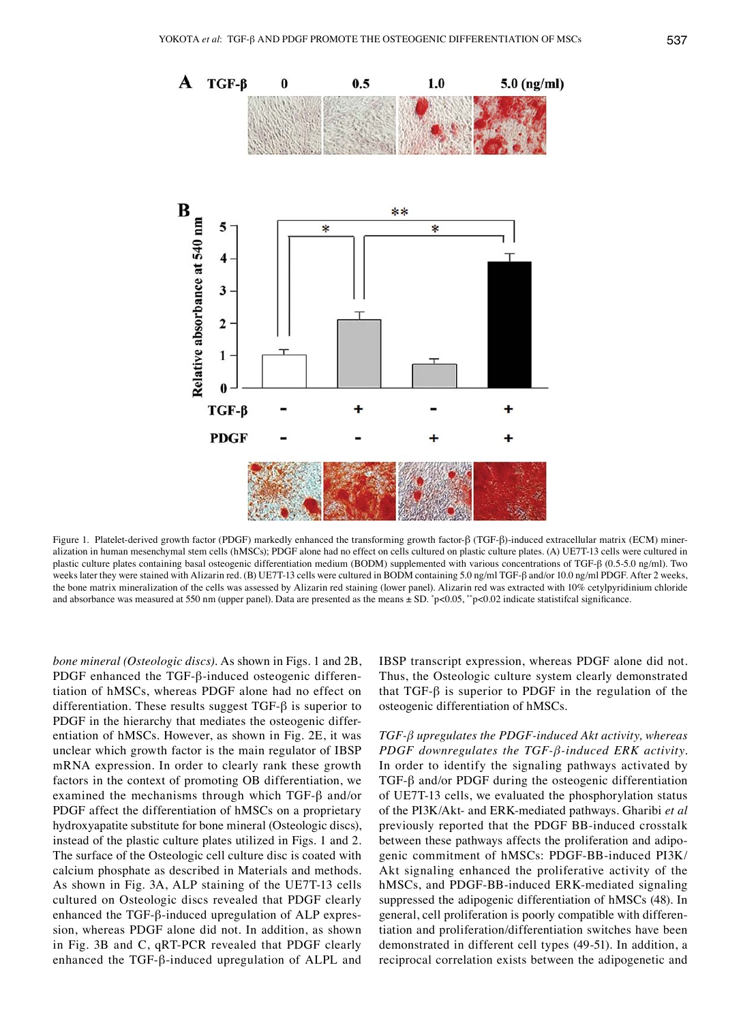

Figure 1. Platelet-derived growth factor (PDGF) markedly enhanced the transforming growth factor-β (TGF-β)-induced extracellular matrix (ECM) mineralization in human mesenchymal stem cells (hMSCs); PDGF alone had no effect on cells cultured on plastic culture plates. (A) UE7T-13 cells were cultured in plastic culture plates containing basal osteogenic differentiation medium (BODM) supplemented with various concentrations of TGF-β (0.5-5.0 ng/ml). Two weeks later they were stained with Alizarin red. (B) UE7T-13 cells were cultured in BODM containing 5.0 ng/ml TGF-β and/or 10.0 ng/ml PDGF. After 2 weeks, the bone matrix mineralization of the cells was assessed by Alizarin red staining (lower panel). Alizarin red was extracted with 10% cetylpyridinium chloride and absorbance was measured at 550 nm (upper panel). Data are presented as the means  $\pm$  SD.  $\degree$ p<0.05,  $\degree$ p<0.02 indicate statistifcal significance.

*bone mineral (Osteologic discs).* As shown in Figs. 1 and 2B, PDGF enhanced the TGF-β-induced osteogenic differentiation of hMSCs, whereas PDGF alone had no effect on differentiation. These results suggest TGF-β is superior to PDGF in the hierarchy that mediates the osteogenic differentiation of hMSCs. However, as shown in Fig. 2E, it was unclear which growth factor is the main regulator of IBSP mRNA expression. In order to clearly rank these growth factors in the context of promoting OB differentiation, we examined the mechanisms through which TGF- $\beta$  and/or PDGF affect the differentiation of hMSCs on a proprietary hydroxyapatite substitute for bone mineral (Osteologic discs), instead of the plastic culture plates utilized in Figs. 1 and 2. The surface of the Osteologic cell culture disc is coated with calcium phosphate as described in Materials and methods. As shown in Fig. 3A, ALP staining of the UE7T-13 cells cultured on Osteologic discs revealed that PDGF clearly enhanced the TGF-β-induced upregulation of ALP expression, whereas PDGF alone did not. In addition, as shown in Fig. 3B and C, qRT-PCR revealed that PDGF clearly enhanced the TGF-β-induced upregulation of ALPL and IBSP transcript expression, whereas PDGF alone did not. Thus, the Osteologic culture system clearly demonstrated that TGF-β is superior to PDGF in the regulation of the osteogenic differentiation of hMSCs.

*TGF-β upregulates the PDGF-induced Akt activity, whereas PDGF downregulates the TGF-β-induced ERK activity.*  In order to identify the signaling pathways activated by TGF-β and/or PDGF during the osteogenic differentiation of UE7T-13 cells, we evaluated the phosphorylation status of the PI3K/Akt- and ERK-mediated pathways. Gharibi *et al* previously reported that the PDGF BB-induced crosstalk between these pathways affects the proliferation and adipogenic commitment of hMSCs: PDGF-BB-induced PI3K/ Akt signaling enhanced the proliferative activity of the hMSCs, and PDGF-BB-induced ERK-mediated signaling suppressed the adipogenic differentiation of hMSCs (48). In general, cell proliferation is poorly compatible with differentiation and proliferation/differentiation switches have been demonstrated in different cell types (49-51). In addition, a reciprocal correlation exists between the adipogenetic and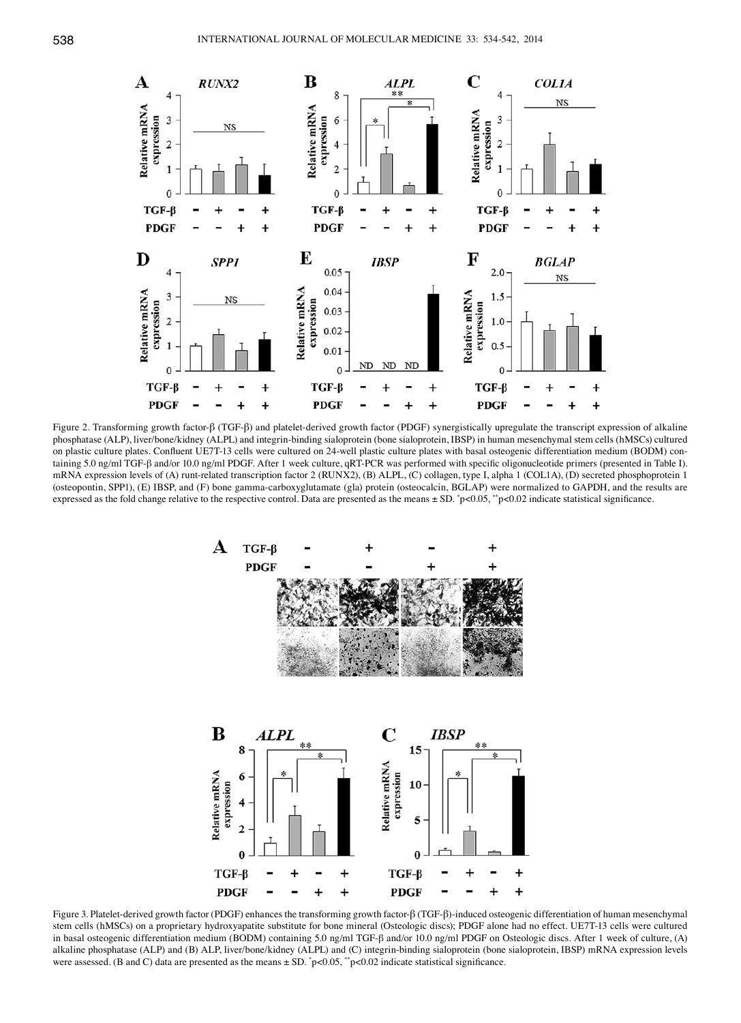

Figure 2. Transforming growth factor-β (TGF-β) and platelet-derived growth factor (PDGF) synergistically upregulate the transcript expression of alkaline phosphatase (ALP), liver/bone/kidney (ALPL) and integrin-binding sialoprotein (bone sialoprotein, IBSP) in human mesenchymal stem cells (hMSCs) cultured on plastic culture plates. Confluent UE7T-13 cells were cultured on 24-well plastic culture plates with basal osteogenic differentiation medium (BODM) containing 5.0 ng/ml TGF-β and/or 10.0 ng/ml PDGF. After 1 week culture, qRT-PCR was performed with specific oligonucleotide primers (presented in Table I). mRNA expression levels of (A) runt-related transcription factor 2 (RUNX2), (B) ALPL, (C) collagen, type I, alpha 1 (COL1A), (D) secreted phosphoprotein 1 (osteopontin, SPP1), (E) IBSP, and (F) bone gamma-carboxyglutamate (gla) protein (osteocalcin, BGLAP) were normalized to GAPDH, and the results are expressed as the fold change relative to the respective control. Data are presented as the means  $\pm$  SD.  $\degree$ p<0.05,  $\degree$ p<0.02 indicate statistical significance.



Figure 3. Platelet-derived growth factor (PDGF) enhances the transforming growth factor-β (TGF-β)-induced osteogenic differentiation of human mesenchymal stem cells (hMSCs) on a proprietary hydroxyapatite substitute for bone mineral (Osteologic discs); PDGF alone had no effect. UE7T-13 cells were cultured in basal osteogenic differentiation medium (BODM) containing 5.0 ng/ml TGF-β and/or 10.0 ng/ml PDGF on Osteologic discs. After 1 week of culture, (A) alkaline phosphatase (ALP) and (B) ALP, liver/bone/kidney (ALPL) and (C) integrin-binding sialoprotein (bone sialoprotein, IBSP) mRNA expression levels were assessed. (B and C) data are presented as the means  $\pm$  SD.  $\degree$ p<0.05,  $\degree$ p<0.02 indicate statistical significance.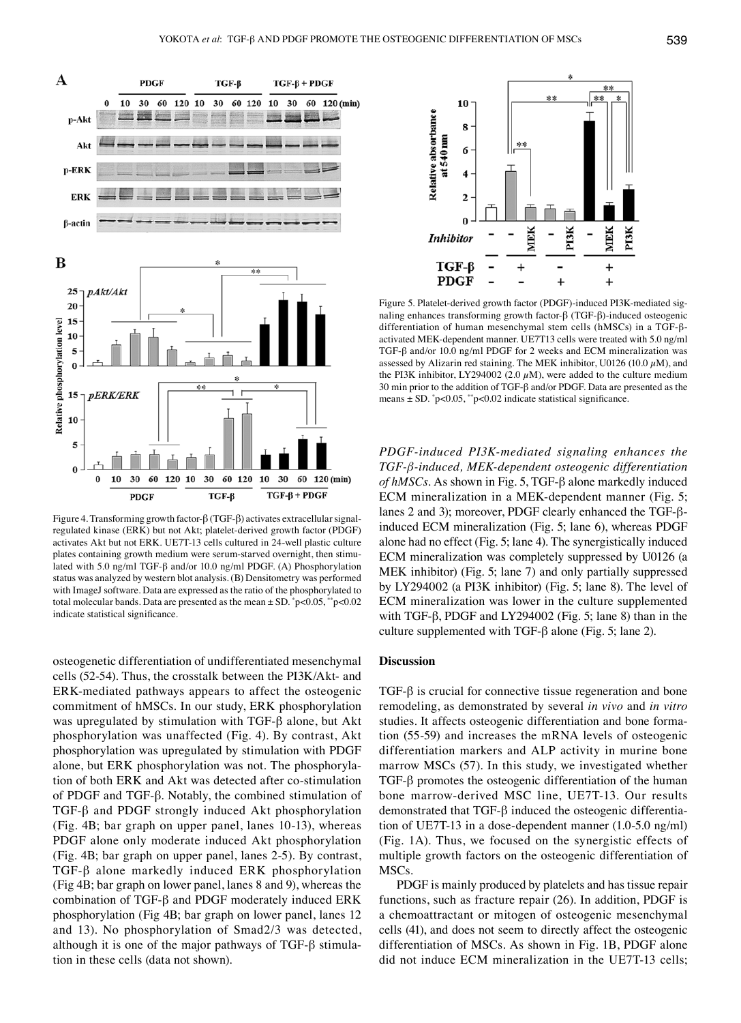

Figure 4. Transforming growth factor-β (TGF-β) activates extracellular signalregulated kinase (ERK) but not Akt; platelet-derived growth factor (PDGF) activates Akt but not ERK. UE7T-13 cells cultured in 24-well plastic culture plates containing growth medium were serum-starved overnight, then stimulated with 5.0 ng/ml TGF-β and/or 10.0 ng/ml PDGF. (A) Phosphorylation status was analyzed by western blot analysis. (B) Densitometry was performed with ImageJ software. Data are expressed as the ratio of the phosphorylated to total molecular bands. Data are presented as the mean ± SD. \* p<0.05, \*\*p<0.02 indicate statistical significance.

osteogenetic differentiation of undifferentiated mesenchymal cells (52-54). Thus, the crosstalk between the PI3K/Akt- and ERK-mediated pathways appears to affect the osteogenic commitment of hMSCs. In our study, ERK phosphorylation was upregulated by stimulation with TGF-β alone, but Akt phosphorylation was unaffected (Fig. 4). By contrast, Akt phosphorylation was upregulated by stimulation with PDGF alone, but ERK phosphorylation was not. The phosphorylation of both ERK and Akt was detected after co-stimulation of PDGF and TGF-β. Notably, the combined stimulation of TGF-β and PDGF strongly induced Akt phosphorylation (Fig. 4B; bar graph on upper panel, lanes 10-13), whereas PDGF alone only moderate induced Akt phosphorylation (Fig. 4B; bar graph on upper panel, lanes 2-5). By contrast, TGF-β alone markedly induced ERK phosphorylation (Fig 4B; bar graph on lower panel, lanes 8 and 9), whereas the combination of TGF-β and PDGF moderately induced ERK phosphorylation (Fig 4B; bar graph on lower panel, lanes 12 and 13). No phosphorylation of Smad2/3 was detected, although it is one of the major pathways of TGF-β stimulation in these cells (data not shown).



Figure 5. Platelet-derived growth factor (PDGF)-induced PI3K-mediated signaling enhances transforming growth factor-β (TGF-β)-induced osteogenic differentiation of human mesenchymal stem cells (hMSCs) in a TGF-βactivated MEK-dependent manner. UE7T13 cells were treated with 5.0 ng/ml TGF-β and/or 10.0 ng/ml PDGF for 2 weeks and ECM mineralization was assessed by Alizarin red staining. The MEK inhibitor, U0126 (10.0  $\mu$ M), and the PI3K inhibitor, LY294002 (2.0  $\mu$ M), were added to the culture medium 30 min prior to the addition of TGF-β and/or PDGF. Data are presented as the means  $\pm$  SD.  $\degree$ p<0.05,  $\degree$ <sup>\*</sup>p<0.02 indicate statistical significance.

*PDGF-induced PI3K-mediated signaling enhances the TGF-β-induced, MEK-dependent osteogenic differentiation of hMSCs.* As shown in Fig. 5, TGF-β alone markedly induced ECM mineralization in a MEK-dependent manner (Fig. 5; lanes 2 and 3); moreover, PDGF clearly enhanced the TGF-βinduced ECM mineralization (Fig. 5; lane 6), whereas PDGF alone had no effect (Fig. 5; lane 4). The synergistically induced ECM mineralization was completely suppressed by U0126 (a MEK inhibitor) (Fig. 5; lane 7) and only partially suppressed by LY294002 (a PI3K inhibitor) (Fig. 5; lane 8). The level of ECM mineralization was lower in the culture supplemented with TGF-β, PDGF and LY294002 (Fig. 5; lane 8) than in the culture supplemented with TGF-β alone (Fig. 5; lane 2).

## **Discussion**

TGF-β is crucial for connective tissue regeneration and bone remodeling, as demonstrated by several *in vivo* and *in vitro* studies. It affects osteogenic differentiation and bone formation (55-59) and increases the mRNA levels of osteogenic differentiation markers and ALP activity in murine bone marrow MSCs (57). In this study, we investigated whether TGF-β promotes the osteogenic differentiation of the human bone marrow-derived MSC line, UE7T-13. Our results demonstrated that TGF-β induced the osteogenic differentiation of UE7T-13 in a dose-dependent manner (1.0-5.0 ng/ml) (Fig. 1A). Thus, we focused on the synergistic effects of multiple growth factors on the osteogenic differentiation of MSCs.

PDGF is mainly produced by platelets and has tissue repair functions, such as fracture repair (26). In addition, PDGF is a chemoattractant or mitogen of osteogenic mesenchymal cells (41), and does not seem to directly affect the osteogenic differentiation of MSCs. As shown in Fig. 1B, PDGF alone did not induce ECM mineralization in the UE7T-13 cells;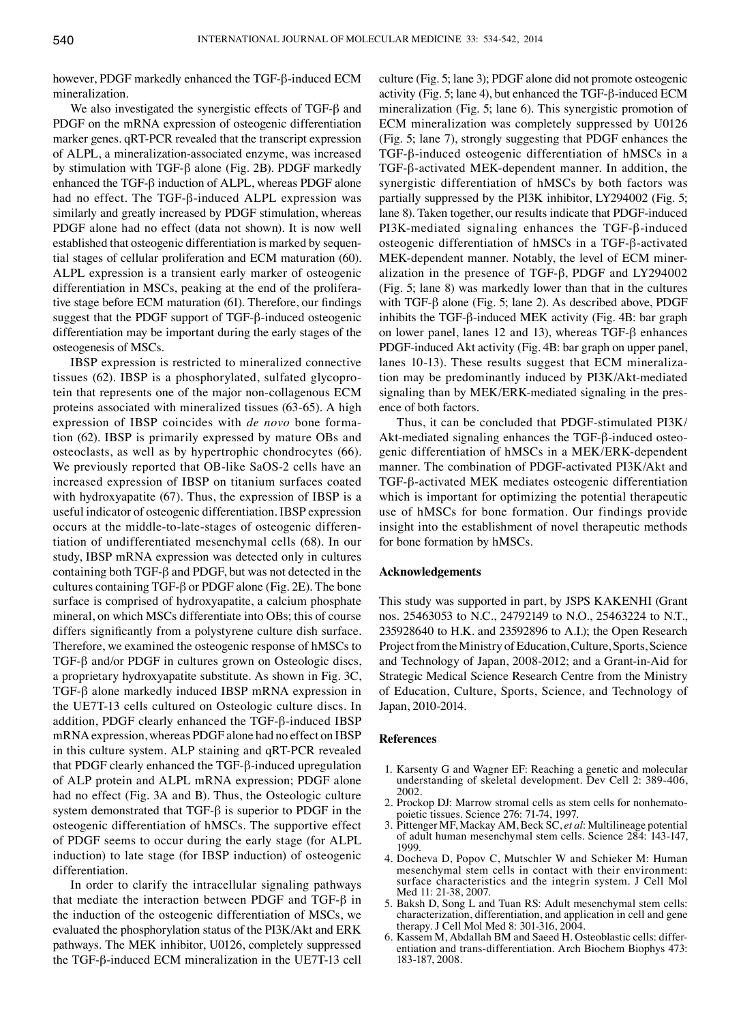however, PDGF markedly enhanced the TGF-β-induced ECM mineralization.

We also investigated the synergistic effects of TGF-β and PDGF on the mRNA expression of osteogenic differentiation marker genes. qRT-PCR revealed that the transcript expression of ALPL, a mineralization-associated enzyme, was increased by stimulation with TGF-β alone (Fig. 2B). PDGF markedly enhanced the TGF-β induction of ALPL, whereas PDGF alone had no effect. The TGF-β-induced ALPL expression was similarly and greatly increased by PDGF stimulation, whereas PDGF alone had no effect (data not shown). It is now well established that osteogenic differentiation is marked by sequential stages of cellular proliferation and ECM maturation (60). ALPL expression is a transient early marker of osteogenic differentiation in MSCs, peaking at the end of the proliferative stage before ECM maturation (61). Therefore, our findings suggest that the PDGF support of TGF-β-induced osteogenic differentiation may be important during the early stages of the osteogenesis of MSCs.

IBSP expression is restricted to mineralized connective tissues (62). IBSP is a phosphorylated, sulfated glycoprotein that represents one of the major non-collagenous ECM proteins associated with mineralized tissues (63-65). A high expression of IBSP coincides with *de novo* bone formation (62). IBSP is primarily expressed by mature OBs and osteoclasts, as well as by hypertrophic chondrocytes (66). We previously reported that OB-like SaOS-2 cells have an increased expression of IBSP on titanium surfaces coated with hydroxyapatite (67). Thus, the expression of IBSP is a useful indicator of osteogenic differentiation. IBSP expression occurs at the middle-to-late-stages of osteogenic differentiation of undifferentiated mesenchymal cells (68). In our study, IBSP mRNA expression was detected only in cultures containing both TGF-β and PDGF, but was not detected in the cultures containing TGF-β or PDGF alone (Fig. 2E). The bone surface is comprised of hydroxyapatite, a calcium phosphate mineral, on which MSCs differentiate into OBs; this of course differs significantly from a polystyrene culture dish surface. Therefore, we examined the osteogenic response of hMSCs to TGF-β and/or PDGF in cultures grown on Osteologic discs, a proprietary hydroxyapatite substitute. As shown in Fig. 3C, TGF-β alone markedly induced IBSP mRNA expression in the UE7T-13 cells cultured on Osteologic culture discs. In addition, PDGF clearly enhanced the TGF-β-induced IBSP mRNA expression, whereas PDGF alone had no effect on IBSP in this culture system. ALP staining and qRT-PCR revealed that PDGF clearly enhanced the TGF-β-induced upregulation of ALP protein and ALPL mRNA expression; PDGF alone had no effect (Fig. 3A and B). Thus, the Osteologic culture system demonstrated that TGF-β is superior to PDGF in the osteogenic differentiation of hMSCs. The supportive effect of PDGF seems to occur during the early stage (for ALPL induction) to late stage (for IBSP induction) of osteogenic differentiation.

In order to clarify the intracellular signaling pathways that mediate the interaction between PDGF and TGF-β in the induction of the osteogenic differentiation of MSCs, we evaluated the phosphorylation status of the PI3K/Akt and ERK pathways. The MEK inhibitor, U0126, completely suppressed the TGF-β-induced ECM mineralization in the UE7T-13 cell culture (Fig. 5; lane 3); PDGF alone did not promote osteogenic activity (Fig. 5; lane 4), but enhanced the TGF-β-induced ECM mineralization (Fig. 5; lane 6). This synergistic promotion of ECM mineralization was completely suppressed by U0126 (Fig. 5; lane 7), strongly suggesting that PDGF enhances the TGF-β-induced osteogenic differentiation of hMSCs in a TGF-β-activated MEK-dependent manner. In addition, the synergistic differentiation of hMSCs by both factors was partially suppressed by the PI3K inhibitor, LY294002 (Fig. 5; lane 8). Taken together, our results indicate that PDGF-induced PI3K-mediated signaling enhances the TGF-β-induced osteogenic differentiation of hMSCs in a TGF-β-activated MEK-dependent manner. Notably, the level of ECM mineralization in the presence of TGF-β, PDGF and LY294002 (Fig. 5; lane 8) was markedly lower than that in the cultures with TGF-β alone (Fig. 5; lane 2). As described above, PDGF inhibits the TGF-β-induced MEK activity (Fig. 4B: bar graph on lower panel, lanes 12 and 13), whereas TGF-β enhances PDGF-induced Akt activity (Fig. 4B: bar graph on upper panel, lanes 10-13). These results suggest that ECM mineralization may be predominantly induced by PI3K/Akt-mediated signaling than by MEK/ERK-mediated signaling in the presence of both factors.

Thus, it can be concluded that PDGF-stimulated PI3K/ Akt-mediated signaling enhances the TGF-β-induced osteogenic differentiation of hMSCs in a MEK/ERK-dependent manner. The combination of PDGF-activated PI3K/Akt and TGF-β-activated MEK mediates osteogenic differentiation which is important for optimizing the potential therapeutic use of hMSCs for bone formation. Our findings provide insight into the establishment of novel therapeutic methods for bone formation by hMSCs.

### **Acknowledgements**

This study was supported in part, by JSPS KAKENHI (Grant nos. 25463053 to N.C., 24792149 to N.O., 25463224 to N.T., 235928640 to H.K. and 23592896 to A.I.); the Open Research Project from the Ministry of Education, Culture, Sports, Science and Technology of Japan, 2008-2012; and a Grant-in-Aid for Strategic Medical Science Research Centre from the Ministry of Education, Culture, Sports, Science, and Technology of Japan, 2010-2014.

#### **References**

- 1. Karsenty G and Wagner EF: Reaching a genetic and molecular understanding of skeletal development. Dev Cell 2: 389-406, 2002.
- 2. Prockop DJ: Marrow stromal cells as stem cells for nonhemato- poietic tissues. Science 276: 71-74, 1997.
- 3. Pittenger MF, Mackay AM, Beck SC, *et al*: Multilineage potential of adult human mesenchymal stem cells. Science 284: 143-147, 1999.
- 4. Docheva D, Popov C, Mutschler W and Schieker M: Human mesenchymal stem cells in contact with their environment: surface characteristics and the integrin system. J Cell Mol Med 11: 21-38, 2007.
- 5. Baksh D, Song L and Tuan RS: Adult mesenchymal stem cells: characterization, differentiation, and application in cell and gene therapy. J Cell Mol Med 8: 301-316, 2004.
- 6. Kassem M, Abdallah BM and Saeed H. Osteoblastic cells: differentiation and trans-differentiation. Arch Biochem Biophys 473: 183-187, 2008.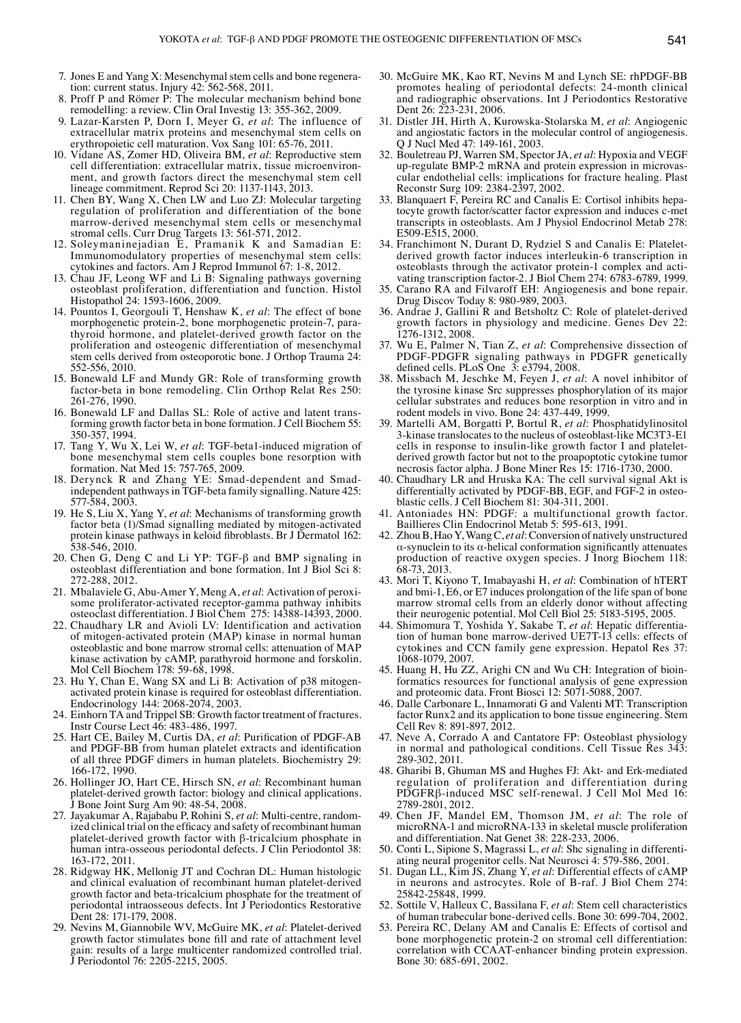- 7. Jones E and Yang X: Mesenchymal stem cells and bone regeneration: current status. Injury 42: 562-568, 2011.
- 8. Proff P and Römer P: The molecular mechanism behind bone remodelling: a review. Clin Oral Investig 13: 355-362, 2009.
- 9. Lazar-Karsten P, Dorn I, Meyer G, *et al*: The influence of extracellular matrix proteins and mesenchymal stem cells on erythropoietic cell maturation. Vox Sang 101: 65-76, 2011.
- 10. Vidane AS, Zomer HD, Oliveira BM, *et al*: Reproductive stem cell differentiation: extracellular matrix, tissue microenvironment, and growth factors direct the mesenchymal stem cell lineage commitment. Reprod Sci 20: 1137-1143, 2013.
- 11. Chen BY, Wang X, Chen LW and Luo ZJ: Molecular targeting regulation of proliferation and differentiation of the bone marrow-derived mesenchymal stem cells or mesenchymal stromal cells. Curr Drug Targets 13: 561-571, 2012.
- 12. Soleymaninejadian E, Pramanik K and Samadian E: Immunomodulatory properties of mesenchymal stem cells: cytokines and factors. Am J Reprod Immunol 67: 1-8, 2012.
- 13. Chau JF, Leong WF and Li B: Signaling pathways governing osteoblast proliferation, differentiation and function. Histol Histopathol 24: 1593-1606, 2009.
- 14. Pountos I, Georgouli T, Henshaw K, *et al*: The effect of bone morphogenetic protein-2, bone morphogenetic protein-7, parathyroid hormone, and platelet-derived growth factor on the proliferation and osteogenic differentiation of mesenchymal stem cells derived from osteoporotic bone. J Orthop Trauma 24: 552-556, 2010.
- 15. Bonewald LF and Mundy GR: Role of transforming growth factor-beta in bone remodeling. Clin Orthop Relat Res 250: 261-276, 1990.<br>16. Bonewald LF and Dallas SL: Role of active and latent trans-
- 16. Bonewald LF and Dallas SL: Role of active and latent transforming growth factor beta in bone formation. J Cell Biochem 55: 350-357, 1994.
- 17. Tang Y, Wu X, Lei W, *et al*: TGF-beta1-induced migration of bone mesenchymal stem cells couples bone resorption with formation. Nat Med 15: 757-765, 2009.
- 18. Derynck R and Zhang YE: Smad-dependent and Smadindependent pathways in TGF-beta family signalling. Nature 425: 577-584, 2003.
- 19. He S, Liu X, Yang Y, *et al*: Mechanisms of transforming growth factor beta (1)/Smad signalling mediated by mitogen-activated protein kinase pathways in keloid fibroblasts. Br J Dermatol 162: 538-546, 2010.
- 20. Chen G, Deng C and Li YP: TGF-β and BMP signaling in osteoblast differentiation and bone formation. Int J Biol Sci 8: 272-288, 2012.
- 21. Mbalaviele G, Abu-Amer Y, Meng A, *et al*: Activation of peroxisome proliferator-activated receptor-gamma pathway inhibits osteoclast differentiation. J Biol Chem 275: 14388-14393, 2000.
- 22. Chaudhary LR and Avioli LV: Identification and activation of mitogen-activated protein (MAP) kinase in normal human osteoblastic and bone marrow stromal cells: attenuation of MAP kinase activation by cAMP, parathyroid hormone and forskolin. Mol Cell Biochem 178: 59-68, 1998.
- 23. Hu Y, Chan E, Wang SX and Li B: Activation of p38 mitogenactivated protein kinase is required for osteoblast differentiation. Endocrinology 144: 2068-2074, 2003.
- 24. Einhorn TA and Trippel SB: Growth factor treatment of fractures. Instr Course Lect 46: 483-486, 1997.
- 25. Hart CE, Bailey M, Curtis DA, *et al*: Purification of PDGF-AB and PDGF-BB from human platelet extracts and identification of all three PDGF dimers in human platelets. Biochemistry 29: 166-172, 1990.
- 26. Hollinger JO, Hart CE, Hirsch SN, *et al*: Recombinant human platelet-derived growth factor: biology and clinical applications. J Bone Joint Surg Am 90: 48-54, 2008.
- 27. Jayakumar A, Rajababu P, Rohini S, *et al*: Multi-centre, randomized clinical trial on the efficacy and safety of recombinant human platelet-derived growth factor with β-tricalcium phosphate in human intra-osseous periodontal defects. J Clin Periodontol 38: 163-172, 2011.
- 28. Ridgway HK, Mellonig JT and Cochran DL: Human histologic and clinical evaluation of recombinant human platelet-derived growth factor and beta-tricalcium phosphate for the treatment of periodontal intraosseous defects. Int J Periodontics Restorative Dent 28: 171-179, 2008.
- 29. Nevins M, Giannobile WV, McGuire MK, *et al*: Platelet-derived growth factor stimulates bone fill and rate of attachment level gain: results of a large multicenter randomized controlled trial. J Periodontol 76: 2205-2215, 2005.
- 30. McGuire MK, Kao RT, Nevins M and Lynch SE: rhPDGF-BB promotes healing of periodontal defects: 24-month clinical and radiographic observations. Int J Periodontics Restorative Dent 26: 223-231, 2006.
- 31. Distler JH, Hirth A, Kurowska-Stolarska M, *et al*: Angiogenic and angiostatic factors in the molecular control of angiogenesis. Q J Nucl Med 47: 149-161, 2003.
- 32. Bouletreau PJ, Warren SM, Spector JA, *et al*: Hypoxia and VEGF up-regulate BMP-2 mRNA and protein expression in microvascular endothelial cells: implications for fracture healing. Plast Reconstr Surg 109: 2384-2397, 2002.
- 33. Blanquaert F, Pereira RC and Canalis E: Cortisol inhibits hepatocyte growth factor/scatter factor expression and induces c-met transcripts in osteoblasts. Am J Physiol Endocrinol Metab 278: E509-E515, 2000.
- 34. Franchimont N, Durant D, Rydziel S and Canalis E: Plateletderived growth factor induces interleukin-6 transcription in osteoblasts through the activator protein-1 complex and activating transcription factor-2. J Biol Chem 274: 6783-6789, 1999.
- 35. Carano RA and Filvaroff EH: Angiogenesis and bone repair. Drug Discov Today 8: 980-989, 2003.
- 36. Andrae J, Gallini R and Betsholtz C: Role of platelet-derived growth factors in physiology and medicine. Genes Dev 22: 1276-1312, 2008.
- 37. Wu E, Palmer N, Tian Z, *et al*: Comprehensive dissection of PDGF-PDGFR signaling pathways in PDGFR genetically defined cells. PLoS One  $\overline{3}$ : e3794, 2008.
- 38. Missbach M, Jeschke M, Feyen J, *et al*: A novel inhibitor of the tyrosine kinase Src suppresses phosphorylation of its major cellular substrates and reduces bone resorption in vitro and in rodent models in vivo. Bone 24: 437-449, 1999.
- 39. Martelli AM, Borgatti P, Bortul R, *et al*: Phosphatidylinositol 3-kinase translocates to the nucleus of osteoblast-like MC3T3-E1 cells in response to insulin-like growth factor I and plateletderived growth factor but not to the proapoptotic cytokine tumor necrosis factor alpha. J Bone Miner Res 15: 1716-1730, 2000.
- 40. Chaudhary LR and Hruska KA: The cell survival signal Akt is differentially activated by PDGF-BB, EGF, and FGF-2 in osteoblastic cells. J Cell Biochem 81: 304-311, 2001.
- 41. Antoniades HN: PDGF: a multifunctional growth factor. Baillieres Clin Endocrinol Metab 5: 595-613, 1991.
- 42. Zhou B, Hao Y, Wang C, *et al*: Conversion of natively unstructured α-synuclein to its α-helical conformation significantly attenuates production of reactive oxygen species. J Inorg Biochem 118: 68-73, 2013.
- 43. Mori T, Kiyono T, Imabayashi H, *et al*: Combination of hTERT and bmi-1, E6, or E7 induces prolongation of the life span of bone marrow stromal cells from an elderly donor without affecting their neurogenic potential. Mol Cell Biol 25: 5183-5195, 2005.
- 44. Shimomura T, Yoshida Y, Sakabe T, *et al*: Hepatic differentiation of human bone marrow-derived UE7T-13 cells: effects of cytokines and CCN family gene expression. Hepatol Res 37: 1068-1079, 2007.
- 45. Huang H, Hu ZZ, Arighi CN and Wu CH: Integration of bioinformatics resources for functional analysis of gene expression and proteomic data. Front Biosci 12: 5071-5088, 2007.
- 46. Dalle Carbonare L, Innamorati G and Valenti MT: Transcription factor Runx2 and its application to bone tissue engineering. Stem Cell Rev 8: 891-897, 2012.
- 47. Neve A, Corrado A and Cantatore FP: Osteoblast physiology in normal and pathological conditions. Cell Tissue Res 343: 289-302, 2011.
- 48. Gharibi B, Ghuman MS and Hughes FJ: Akt- and Erk-mediated regulation of proliferation and differentiation during PDGFRβ-induced MSC self-renewal. J Cell Mol Med 16: 2789-2801, 2012.
- 49. Chen JF, Mandel EM, Thomson JM, *et al*: The role of microRNA-1 and microRNA-133 in skeletal muscle proliferation and differentiation. Nat Genet 38: 228-233, 2006.
- 50. Conti L, Sipione S, Magrassi L, *et al*: Shc signaling in differenti- ating neural progenitor cells. Nat Neurosci 4: 579-586, 2001.
- 51. Dugan LL, Kim JS, Zhang Y, *et al*: Differential effects of cAMP in neurons and astrocytes. Role of B-raf. J Biol Chem 274: 25842-25848, 1999.
- 52. Sottile V, Halleux C, Bassilana F, *et al*: Stem cell characteristics of human trabecular bone-derived cells. Bone 30: 699-704, 2002.
- 53. Pereira RC, Delany AM and Canalis E: Effects of cortisol and bone morphogenetic protein-2 on stromal cell differentiation: correlation with CCAAT-enhancer binding protein expression. Bone 30: 685-691, 2002.